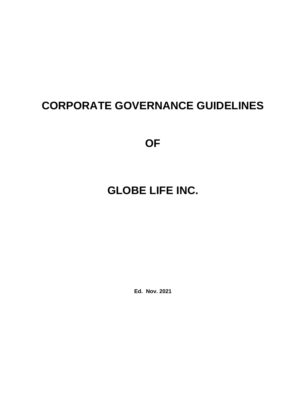## **CORPORATE GOVERNANCE GUIDELINES**

**OF**

# **GLOBE LIFE INC.**

**Ed. Nov. 2021**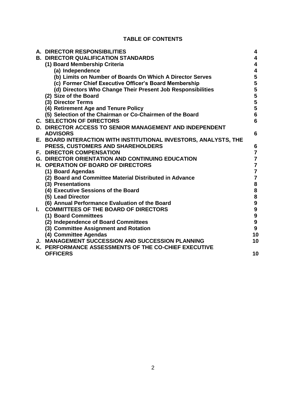### **TABLE OF CONTENTS**

|    | A. DIRECTOR RESPONSIBILITIES                                     | 4                                     |
|----|------------------------------------------------------------------|---------------------------------------|
|    | <b>B. DIRECTOR QUALIFICATION STANDARDS</b>                       | 4                                     |
|    | (1) Board Membership Criteria                                    | 4                                     |
|    | (a) Independence                                                 | 4                                     |
|    | (b) Limits on Number of Boards On Which A Director Serves        | 5                                     |
|    | (c) Former Chief Executive Officer's Board Membership            | 5                                     |
|    | (d) Directors Who Change Their Present Job Responsibilities      | 5                                     |
|    | (2) Size of the Board                                            | 5                                     |
|    | (3) Director Terms                                               | $\overline{\mathbf{5}}$               |
|    | (4) Retirement Age and Tenure Policy                             | $\overline{\mathbf{5}}$               |
|    | (5) Selection of the Chairman or Co-Chairmen of the Board        | $6\phantom{a}$                        |
|    | <b>C. SELECTION OF DIRECTORS</b>                                 | 6                                     |
|    | <b>D. DIRECTOR ACCESS TO SENIOR MANAGEMENT AND INDEPENDENT</b>   |                                       |
|    | <b>ADVISORS</b>                                                  | 6                                     |
|    | E. BOARD INTERACTION WITH INSTITUTIONAL INVESTORS, ANALYSTS, THE |                                       |
|    | <b>PRESS, CUSTOMERS AND SHAREHOLDERS</b>                         | 6                                     |
|    | <b>F. DIRECTOR COMPENSATION</b>                                  | $\overline{7}$                        |
|    | <b>G. DIRECTOR ORIENTATION AND CONTINUING EDUCATION</b>          | $\overline{\mathbf{7}}$               |
|    | <b>H. OPERATION OF BOARD OF DIRECTORS</b>                        | $\overline{7}$                        |
|    | (1) Board Agendas                                                | $\overline{7}$                        |
|    | (2) Board and Committee Material Distributed in Advance          | $\overline{7}$                        |
|    | (3) Presentations                                                | 8                                     |
|    | (4) Executive Sessions of the Board                              | $\begin{array}{c} 8 \\ 8 \end{array}$ |
|    | (5) Lead Director                                                |                                       |
|    | (6) Annual Performance Evaluation of the Board                   | $\boldsymbol{9}$                      |
| L. | <b>COMMITTEES OF THE BOARD OF DIRECTORS</b>                      | $\boldsymbol{9}$                      |
|    | (1) Board Committees                                             | $\boldsymbol{9}$                      |
|    | (2) Independence of Board Committees                             | 9                                     |
|    | (3) Committee Assignment and Rotation                            | $\boldsymbol{9}$                      |
|    | (4) Committee Agendas                                            | 10                                    |
|    | <b>J. MANAGEMENT SUCCESSION AND SUCCESSION PLANNING</b>          | 10                                    |
|    | K. PERFORMANCE ASSESSMENTS OF THE CO-CHIEF EXECUTIVE             |                                       |
|    | <b>OFFICERS</b>                                                  | 10                                    |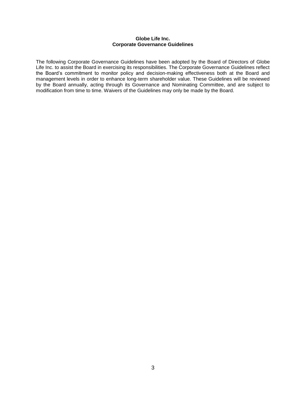#### **Globe Life Inc. Corporate Governance Guidelines**

The following Corporate Governance Guidelines have been adopted by the Board of Directors of Globe Life Inc. to assist the Board in exercising its responsibilities. The Corporate Governance Guidelines reflect the Board's commitment to monitor policy and decision-making effectiveness both at the Board and management levels in order to enhance long-term shareholder value. These Guidelines will be reviewed by the Board annually, acting through its Governance and Nominating Committee, and are subject to modification from time to time. Waivers of the Guidelines may only be made by the Board.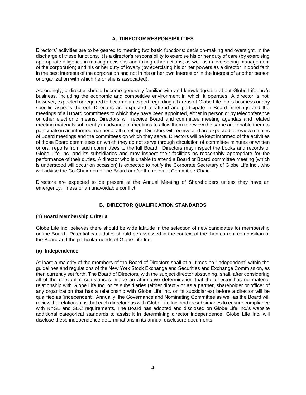#### **A. DIRECTOR RESPONSIBILITIES**

Directors' activities are to be geared to meeting two basic functions: decision-making and oversight. In the discharge of these functions, it is a director's responsibility to exercise his or her duty of care (by exercising appropriate diligence in making decisions and taking other actions, as well as in overseeing management of the corporation) and his or her duty of loyalty (by exercising his or her powers as a director in good faith in the best interests of the corporation and not in his or her own interest or in the interest of another person or organization with which he or she is associated).

Accordingly, a director should become generally familiar with and knowledgeable about Globe Life Inc.'s business, including the economic and competitive environment in which it operates. A director is not, however, expected or required to become an expert regarding all areas of Globe Life Inc.'s business or any specific aspects thereof. Directors are expected to attend and participate in Board meetings and the meetings of all Board committees to which they have been appointed, either in person or by teleconference or other electronic means. Directors will receive Board and committee meeting agendas and related meeting materials sufficiently in advance of meetings to allow them to review the same and enable them to participate in an informed manner at all meetings. Directors will receive and are expected to review minutes of Board meetings and the committees on which they serve. Directors will be kept informed of the activities of those Board committees on which they do not serve through circulation of committee minutes or written or oral reports from such committees to the full Board. Directors may inspect the books and records of Globe Life Inc. and its subsidiaries and may inspect their facilities as reasonably appropriate for the performance of their duties. A director who is unable to attend a Board or Board committee meeting (which is understood will occur on occasion) is expected to notify the Corporate Secretary of Globe Life Inc., who will advise the Co-Chairmen of the Board and/or the relevant Committee Chair.

Directors are expected to be present at the Annual Meeting of Shareholders unless they have an emergency, illness or an unavoidable conflict.

#### **B. DIRECTOR QUALIFICATION STANDARDS**

#### **(1) Board Membership Criteria**

Globe Life Inc. believes there should be wide latitude in the selection of new candidates for membership on the Board. Potential candidates should be assessed in the context of the then current composition of the Board and the particular needs of Globe Life Inc.

#### **(a) Independence**

At least a majority of the members of the Board of Directors shall at all times be "independent" within the guidelines and regulations of the New York Stock Exchange and Securities and Exchange Commission, as then currently set forth. The Board of Directors, with the subject director abstaining, shall, after considering all of the relevant circumstances, make an affirmative determination that the director has no material relationship with Globe Life Inc. or its subsidiaries (either directly or as a partner, shareholder or officer of any organization that has a relationship with Globe Life Inc. or its subsidiaries) before a director will be qualified as "independent". Annually, the Governance and Nominating Committee as well as the Board will review the relationships that each director has with Globe Life Inc. and its subsidiaries to ensure compliance with NYSE and SEC requirements. The Board has adopted and disclosed on Globe Life Inc.'s website additional categorical standards to assist it in determining director independence. Globe Life Inc. will disclose these independence determinations in its annual disclosure documents.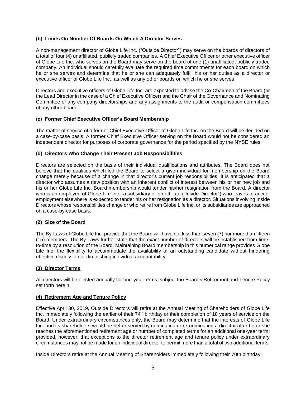#### **(b) Limits On Number Of Boards On Which A Director Serves**

A non-management director of Globe Life Inc. ("Outside Director") may serve on the boards of directors of a total of four (4) unaffiliated, publicly traded companies. A Chief Executive Officer or other executive officer of Globe Life Inc. who serves on the Board may serve on the board of one (1) unaffiliated, publicly traded company. An individual should carefully evaluate the required time commitments for each board on which he or she serves and determine that he or she can adequately fulfill his or her duties as a director or executive officer of Globe Life Inc., as well as any other boards on which he or she serves.

Directors and executive officers of Globe Life Inc. are expected to advise the Co-Chairmen of the Board (or the Lead Director in the case of a Chief Executive Officer) and the Chair of the Governance and Nominating Committee of any company directorships and any assignments to the audit or compensation committees of any other board.

#### **(c) Former Chief Executive Officer's Board Membership**

The matter of service of a former Chief Executive Officer of Globe Life Inc. on the Board will be decided on a case-by-case basis. A former Chief Executive Officer serving on the Board would not be considered an independent director for purposes of corporate governance for the period specified by the NYSE rules.

#### **(d) Directors Who Change Their Present Job Responsibilities**

Directors are selected on the basis of their individual qualifications and attributes. The Board does not believe that the qualities which led the Board to select a given individual for membership on the Board change merely because of a change in that director's current job responsibilities. It is anticipated that a director who assumes a new position with an inherent conflict of interest between his or her new job and his or her Globe Life Inc. Board membership would tender his/her resignation from the Board. A director who is an employee of Globe Life Inc., a subsidiary or an affiliate ("Inside Director") who leaves to accept employment elsewhere is expected to tender his or her resignation as a director. Situations involving Inside Directors whose responsibilities change or who retire from Globe Life Inc. or its subsidiaries are approached on a case-by-case basis.

#### **(2) Size of the Board**

The By-Laws of Globe Life Inc. provide that the Board will have not less than seven (7) nor more than fifteen (15) members. The By-Laws further state that the exact number of directors will be established from timeto-time by a resolution of the Board. Maintaining Board membership in this numerical range provides Globe Life Inc. the flexibility to accommodate the availability of an outstanding candidate without hindering effective discussion or diminishing individual accountability.

#### **(3) Director Terms**

All directors will be elected annually for one-year terms, subject the Board's Retirement and Tenure Policy set forth herein.

#### **(4) Retirement Age and Tenure Policy**

Effective April 30, 2019, Outside Directors will retire at the Annual Meeting of Shareholders of Globe Life Inc. immediately following the earlier of their 74<sup>th</sup> birthday or their completion of 18 years of service on the Board. Under extraordinary circumstances only, the Board may determine that the interests of Globe Life Inc. and its shareholders would be better served by nominating or re-nominating a director after he or she reaches the aforementioned retirement age or number of completed terms for an additional one-year term; provided, however, that exceptions to the director retirement age and tenure policy under extraordinary circumstances may not be made for an individual director to permit more than a total of two additional terms.

Inside Directors retire at the Annual Meeting of Shareholders immediately following their 70th birthday.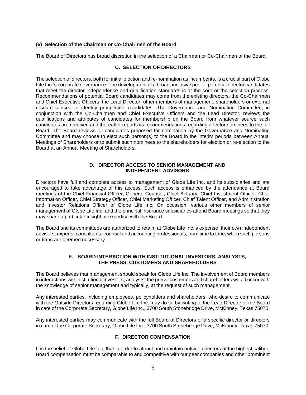#### **(5) Selection of the Chairman or Co-Chairmen of the Board**

The Board of Directors has broad discretion in the selection of a Chairman or Co-Chairmen of the Board.

#### **C. SELECTION OF DIRECTORS**

The selection of directors, both for initial election and re-nomination as incumbents, is a crucial part of Globe Life Inc.'s corporate governance. The development of a broad, inclusive pool of potential director candidates that meet the director independence and qualification standards is at the core of the selection process. Recommendations of potential Board candidates may come from the existing directors, the Co-Chairmen and Chief Executive Officers, the Lead Director, other members of management, shareholders or external resources used to identify prospective candidates. The Governance and Nominating Committee, in conjunction with the Co-Chairmen and Chief Executive Officers and the Lead Director, reviews the qualifications and attributes of candidates for membership on the Board from whatever source such candidates are received and thereafter reports its recommendations regarding director nominees to the full Board. The Board reviews all candidates proposed for nomination by the Governance and Nominating Committee and may choose to elect such person(s) to the Board in the interim periods between Annual Meetings of Shareholders or to submit such nominees to the shareholders for election or re-election to the Board at an Annual Meeting of Shareholders.

#### **D. DIRECTOR ACCESS TO SENIOR MANAGEMENT AND INDEPENDENT ADVISORS**

Directors have full and complete access to management of Globe Life Inc. and its subsidiaries and are encouraged to take advantage of this access. Such access is enhanced by the attendance at Board meetings of the Chief Financial Officer, General Counsel, Chief Actuary, Chief Investment Officer, Chief Information Officer, Chief Strategy Officer, Chief Marketing Officer, Chief Talent Officer, and Administration and Investor Relations Officer of Globe Life Inc. On occasion, various other members of senior management of Globe Life Inc. and the principal insurance subsidiaries attend Board meetings so that they may share a particular insight or expertise with the Board.

The Board and its committees are authorized to retain, at Globe Life Inc.'s expense, their own independent advisors, experts, consultants, counsel and accounting professionals, from time to time, when such persons or firms are deemed necessary.

#### **E. BOARD INTERACTION WITH INSTITUTIONAL INVESTORS, ANALYSTS, THE PRESS, CUSTOMERS AND SHAREHOLDERS**

The Board believes that management should speak for Globe Life Inc. The involvement of Board members in interactions with institutional investors, analysts, the press, customers and shareholders would occur with the knowledge of senior management and typically, at the request of such management.

Any interested parties, including employees, policyholders and shareholders, who desire to communicate with the Outside Directors regarding Globe Life Inc. may do so by writing to the Lead Director of the Board in care of the Corporate Secretary, Globe Life Inc., 3700 South Stonebridge Drive, McKinney, Texas 75070.

Any interested parties may communicate with the full Board of Directors or a specific director or directors in care of the Corporate Secretary, Globe Life Inc., 3700 South Stonebridge Drive, McKinney, Texas 75070.

#### **F. DIRECTOR COMPENSATION**

It is the belief of Globe Life Inc. that in order to attract and maintain outside directors of the highest caliber, Board compensation must be comparable to and competitive with our peer companies and other prominent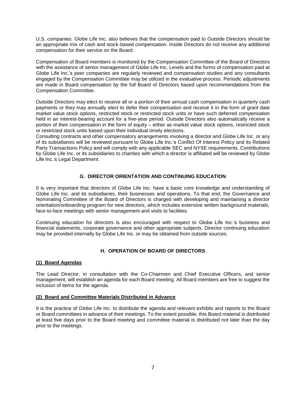U.S. companies. Globe Life Inc. also believes that the compensation paid to Outside Directors should be an appropriate mix of cash and stock-based compensation. Inside Directors do not receive any additional compensation for their service on the Board.

Compensation of Board members is monitored by the Compensation Committee of the Board of Directors with the assistance of senior management of Globe Life Inc. Levels and the forms of compensation paid at Globe Life Inc.'s peer companies are regularly reviewed and compensation studies and any consultants engaged by the Compensation Committee may be utilized in the evaluative process. Periodic adjustments are made in Board compensation by the full Board of Directors based upon recommendations from the Compensation Committee.

Outside Directors may elect to receive all or a portion of their annual cash compensation in quarterly cash payments or they may annually elect to defer their compensation and receive it in the form of grant date market value stock options, restricted stock or restricted stock units or have such deferred compensation held in an interest-bearing account for a five-year period. Outside Directors also automatically receive a portion of their compensation in the form of equity – either as market value stock options, restricted stock or restricted stock units based upon their individual timely elections.

Consulting contracts and other compensatory arrangements involving a director and Globe Life Inc. or any of its subsidiaries will be reviewed pursuant to Globe Life Inc.'s Conflict Of Interest Policy and its Related Party Transactions Policy and will comply with any applicable SEC and NYSE requirements. Contributions by Globe Life Inc. or its subsidiaries to charities with which a director is affiliated will be reviewed by Globe Life Inc.'s Legal Department.

#### **G. DIRECTOR ORIENTATION AND CONTINUING EDUCATION**

It is very important that directors of Globe Life Inc. have a basic core knowledge and understanding of Globe Life Inc. and its subsidiaries, their businesses and operations. To that end, the Governance and Nominating Committee of the Board of Directors is charged with developing and maintaining a director orientation/onboarding program for new directors, which includes extensive written background materials, face-to-face meetings with senior management and visits to facilities.

Continuing education for directors is also encouraged with respect to Globe Life Inc.'s business and financial statements, corporate governance and other appropriate subjects. Director continuing education may be provided internally by Globe Life Inc. or may be obtained from outside sources.

#### **H. OPERATION OF BOARD OF DIRECTORS**

#### **(1) Board Agendas**

The Lead Director, in consultation with the Co-Chairmen and Chief Executive Officers, and senior management, will establish an agenda for each Board meeting. All Board members are free to suggest the inclusion of items for the agenda.

#### **(2) Board and Committee Materials Distributed in Advance**

It is the practice of Globe Life Inc. to distribute the agenda and relevant exhibits and reports to the Board or Board committees in advance of their meetings. To the extent possible, this Board material is distributed at least five days prior to the Board meeting and committee material is distributed not later than the day prior to the meetings.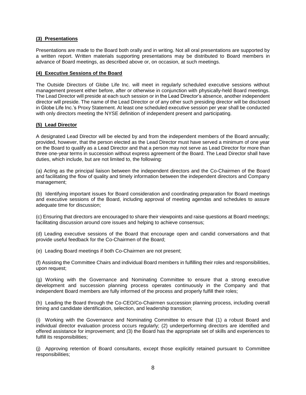#### **(3) Presentations**

Presentations are made to the Board both orally and in writing. Not all oral presentations are supported by a written report. Written materials supporting presentations may be distributed to Board members in advance of Board meetings, as described above or, on occasion, at such meetings.

#### **(4) Executive Sessions of the Board**

The Outside Directors of Globe Life Inc. will meet in regularly scheduled executive sessions without management present either before, after or otherwise in conjunction with physically-held Board meetings. The Lead Director will preside at each such session or in the Lead Director's absence, another independent director will preside. The name of the Lead Director or of any other such presiding director will be disclosed in Globe Life Inc.'s Proxy Statement. At least one scheduled executive session per year shall be conducted with only directors meeting the NYSE definition of independent present and participating.

#### **(5) Lead Director**

A designated Lead Director will be elected by and from the independent members of the Board annually; provided, however, that the person elected as the Lead Director must have served a minimum of one year on the Board to qualify as a Lead Director and that a person may not serve as Lead Director for more than three one-year terms in succession without express agreement of the Board. The Lead Director shall have duties, which include, but are not limited to, the following:

(a) Acting as the principal liaison between the independent directors and the Co-Chairmen of the Board and facilitating the flow of quality and timely information between the independent directors and Company management;

(b) Identifying important issues for Board consideration and coordinating preparation for Board meetings and executive sessions of the Board, including approval of meeting agendas and schedules to assure adequate time for discussion;

(c) Ensuring that directors are encouraged to share their viewpoints and raise questions at Board meetings; facilitating discussion around core issues and helping to achieve consensus;

(d) Leading executive sessions of the Board that encourage open and candid conversations and that provide useful feedback for the Co-Chairmen of the Board;

(e) Leading Board meetings if both Co-Chairmen are not present;

(f) Assisting the Committee Chairs and individual Board members in fulfilling their roles and responsibilities, upon request;

(g) Working with the Governance and Nominating Committee to ensure that a strong executive development and succession planning process operates continuously in the Company and that independent Board members are fully informed of the process and properly fulfill their roles;

(h) Leading the Board through the Co-CEO/Co-Chairmen succession planning process, including overall timing and candidate identification, selection, and leadership transition;

(i) Working with the Governance and Nominating Committee to ensure that (1) a robust Board and individual director evaluation process occurs regularly; (2) underperforming directors are identified and offered assistance for improvement; and (3) the Board has the appropriate set of skills and experiences to fulfill its responsibilities;

(j) Approving retention of Board consultants, except those explicitly retained pursuant to Committee responsibilities;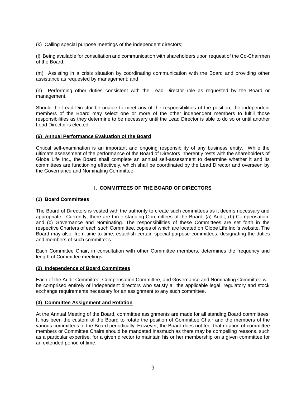(k) Calling special purpose meetings of the independent directors;

(l) Being available for consultation and communication with shareholders upon request of the Co-Chairmen of the Board;

(m) Assisting in a crisis situation by coordinating communication with the Board and providing other assistance as requested by management; and

(n) Performing other duties consistent with the Lead Director role as requested by the Board or management.

Should the Lead Director be unable to meet any of the responsibilities of the position, the independent members of the Board may select one or more of the other independent members to fulfill those responsibilities as they determine to be necessary until the Lead Director is able to do so or until another Lead Director is elected.

#### **(6) Annual Performance Evaluation of the Board**

Critical self-examination is an important and ongoing responsibility of any business entity. While the ultimate assessment of the performance of the Board of Directors inherently rests with the shareholders of Globe Life Inc., the Board shall complete an annual self-assessment to determine whether it and its committees are functioning effectively, which shall be coordinated by the Lead Director and overseen by the Governance and Nominating Committee.

#### **I. COMMITTEES OF THE BOARD OF DIRECTORS**

#### **(1) Board Committees**

The Board of Directors is vested with the authority to create such committees as it deems necessary and appropriate. Currently, there are three standing Committees of the Board: (a) Audit, (b) Compensation, and (c) Governance and Nominating. The responsibilities of these Committees are set forth in the respective Charters of each such Committee, copies of which are located on Globe Life Inc.'s website. The Board may also, from time to time, establish certain special purpose committees, designating the duties and members of such committees.

Each Committee Chair, in consultation with other Committee members, determines the frequency and length of Committee meetings.

#### **(2) Independence of Board Committees**

Each of the Audit Committee, Compensation Committee, and Governance and Nominating Committee will be comprised entirely of independent directors who satisfy all the applicable legal, regulatory and stock exchange requirements necessary for an assignment to any such committee.

#### **(3) Committee Assignment and Rotation**

At the Annual Meeting of the Board, committee assignments are made for all standing Board committees. It has been the custom of the Board to rotate the position of Committee Chair and the members of the various committees of the Board periodically. However, the Board does not feel that rotation of committee members or Committee Chairs should be mandated inasmuch as there may be compelling reasons, such as a particular expertise, for a given director to maintain his or her membership on a given committee for an extended period of time.